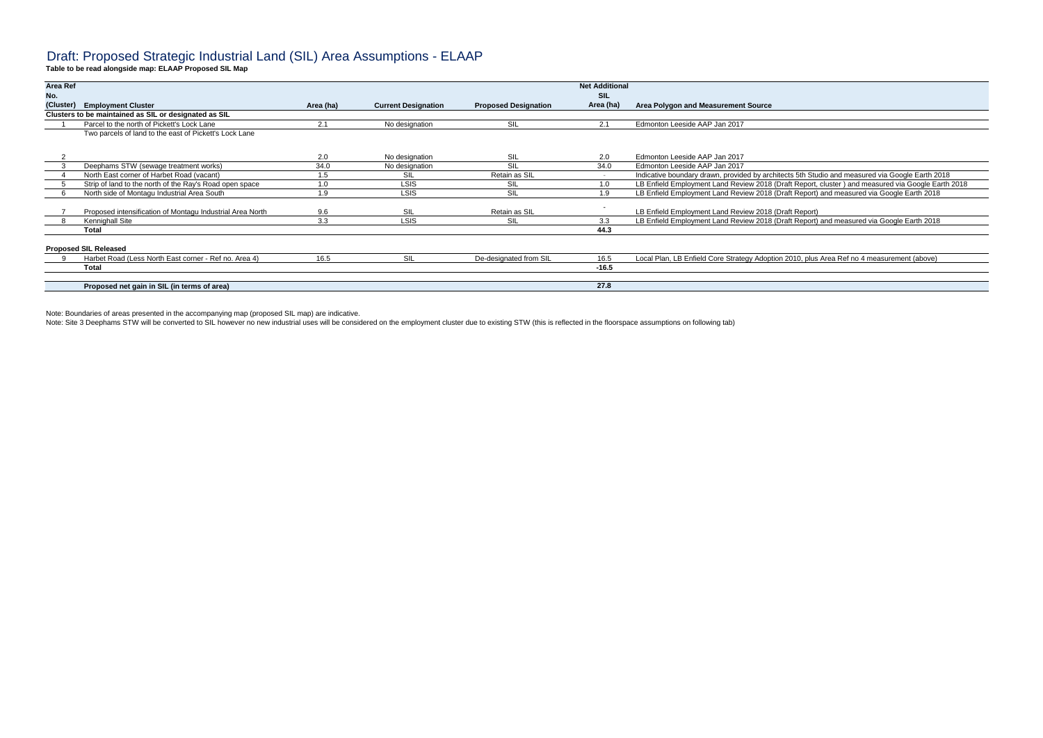## Draft: Proposed Strategic Industrial Land (SIL) Area Assumptions - ELAAP

**Table to be read alongside map: ELAAP Proposed SIL Map**

|                                                           |                                                                                                                                                    |                |                            | <b>Net Additional</b>       |                                                                                                   |
|-----------------------------------------------------------|----------------------------------------------------------------------------------------------------------------------------------------------------|----------------|----------------------------|-----------------------------|---------------------------------------------------------------------------------------------------|
|                                                           |                                                                                                                                                    |                |                            |                             | Area Polygon and Measurement Source                                                               |
|                                                           |                                                                                                                                                    |                |                            |                             |                                                                                                   |
| Parcel to the north of Pickett's Lock Lane                | 2.1                                                                                                                                                | No designation | SIL                        | 2.1                         | Edmonton Leeside AAP Jan 2017                                                                     |
| Two parcels of land to the east of Pickett's Lock Lane    |                                                                                                                                                    |                |                            |                             |                                                                                                   |
|                                                           | 2.0                                                                                                                                                | No designation | SIL                        | 2.0                         | Edmonton Leeside AAP Jan 2017                                                                     |
| Deephams STW (sewage treatment works)                     | 34.0                                                                                                                                               | No designation | SIL                        | 34.0                        | Edmonton Leeside AAP Jan 2017                                                                     |
| North East corner of Harbet Road (vacant)                 | 1.5                                                                                                                                                | SII            | Retain as SIL              |                             | Indicative boundary drawn, provided by architects 5th Studio and measured via Google Earth 2018   |
| Strip of land to the north of the Ray's Road open space   | 1.0                                                                                                                                                | <b>LSIS</b>    | SIL                        | 1.0                         | LB Enfield Employment Land Review 2018 (Draft Report, cluster) and measured via Google Earth 2018 |
| North side of Montagu Industrial Area South               | 1.9                                                                                                                                                | <b>LSIS</b>    | <b>SIL</b>                 | 1.9                         | LB Enfield Employment Land Review 2018 (Draft Report) and measured via Google Earth 2018          |
| Proposed intensification of Montagu Industrial Area North | 9.6                                                                                                                                                | SII            | Retain as SIL              |                             | LB Enfield Employment Land Review 2018 (Draft Report)                                             |
| Kennighall Site                                           | 3.3                                                                                                                                                | <b>LSIS</b>    | SIL                        | 3.3                         | LB Enfield Employment Land Review 2018 (Draft Report) and measured via Google Earth 2018          |
| Total                                                     |                                                                                                                                                    |                |                            | 44.3                        |                                                                                                   |
|                                                           |                                                                                                                                                    |                |                            |                             |                                                                                                   |
| Harbet Road (Less North East corner - Ref no. Area 4)     | 16.5                                                                                                                                               | SIL            | De-designated from SIL     | 16.5                        | Local Plan, LB Enfield Core Strategy Adoption 2010, plus Area Ref no 4 measurement (above)        |
| <b>Total</b>                                              |                                                                                                                                                    |                |                            | $-16.5$                     |                                                                                                   |
|                                                           |                                                                                                                                                    |                |                            |                             |                                                                                                   |
| Proposed net gain in SIL (in terms of area)               |                                                                                                                                                    |                |                            |                             |                                                                                                   |
|                                                           | <b>Area Ref</b><br><b>Employment Cluster</b><br>(Cluster)<br>Clusters to be maintained as SIL or designated as SIL<br><b>Proposed SIL Released</b> | Area (ha)      | <b>Current Designation</b> | <b>Proposed Designation</b> | <b>SIL</b><br>Area (ha)<br>27.8                                                                   |

Note: Boundaries of areas presented in the accompanying map (proposed SIL map) are indicative.

Note: Site 3 Deephams STW will be converted to SIL however no new industrial uses will be considered on the employment cluster due to existing STW (this is reflected in the floorspace assumptions on following tab)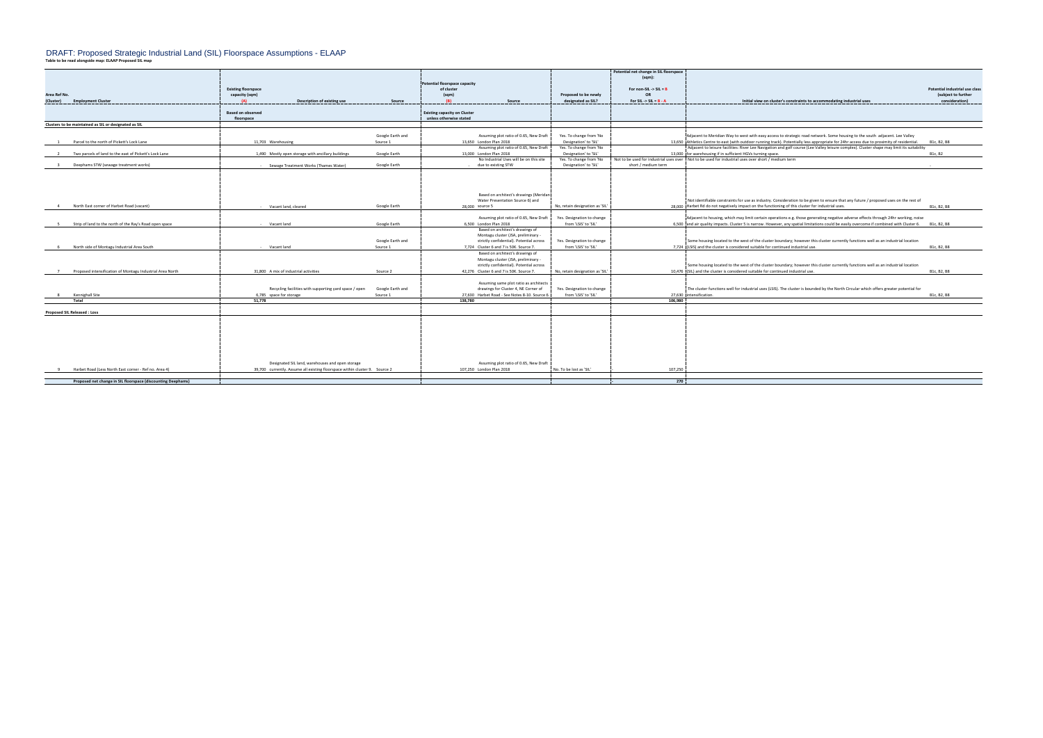## DRAFT: Proposed Strategic Industrial Land (SIL) Floorspace Assumptions - ELAAP

| Table to be read alongside map: ELAAP Proposed SIL map |  |
|--------------------------------------------------------|--|
|--------------------------------------------------------|--|

|                                                              |                                                                             |                  |                                               |                                 | Potential net change in SIL floorspace |                                                                                                                                                       |                                |
|--------------------------------------------------------------|-----------------------------------------------------------------------------|------------------|-----------------------------------------------|---------------------------------|----------------------------------------|-------------------------------------------------------------------------------------------------------------------------------------------------------|--------------------------------|
|                                                              |                                                                             |                  |                                               |                                 | (sqm)                                  |                                                                                                                                                       |                                |
|                                                              |                                                                             |                  | Potential floorspace capacity                 |                                 |                                        |                                                                                                                                                       |                                |
|                                                              | <b>Existing floorspace</b>                                                  |                  | of cluster                                    |                                 | For non-SIL -> SIL = $B$               |                                                                                                                                                       | Potential industrial use class |
| Area Ref No.                                                 | capacity (sqm)                                                              |                  | (sqm)                                         | Proposed to be newly            | OF                                     |                                                                                                                                                       | (subject to further            |
| (Cluster)<br><b>Employment Cluster</b>                       | Description of existing use                                                 | Source           | (R)<br>Source                                 | designated as SIL?              | For SIL -> SIL = $B - A$               | Initial view on cluster's constraints to accommodating industrial uses                                                                                | consideration)                 |
|                                                              |                                                                             |                  |                                               |                                 |                                        |                                                                                                                                                       |                                |
|                                                              | <b>Based on observed</b>                                                    |                  | <b>Existing capacity on Cluster</b>           |                                 |                                        |                                                                                                                                                       |                                |
|                                                              | floorspace                                                                  |                  | unless otherwise stated                       |                                 |                                        |                                                                                                                                                       |                                |
| Clusters to be maintained as SIL or designated as SIL        |                                                                             |                  |                                               |                                 |                                        |                                                                                                                                                       |                                |
|                                                              |                                                                             |                  |                                               |                                 |                                        |                                                                                                                                                       |                                |
|                                                              |                                                                             | Google Earth and | Assuming plot ratio of 0.65, New Draft        | Yes. To change from 'No         |                                        | Adjacent to Meridian Way to west with easy access to strategic road network. Some housing to the south adjacent. Lee Valley                           |                                |
| Parcel to the north of Pickett's Lock Lane                   | 11,703 Warehousing                                                          | Source 1         | 13,650 London Plan 2018                       | Designation' to 'SIL'           |                                        | 13,650 Athletics Centre to east (with outdoor running track). Potentially less appropriate for 24hr access due to proximity of residential.           | B1c, B2, B8                    |
|                                                              |                                                                             |                  | Assuming plot ratio of 0.65, New Draft        | Yes. To change from 'No         |                                        | Adjacent to leisure facilities: River Lee Navigation and golf course (Lee Valley leisure complex). Cluster shape may limit its suitability            |                                |
| Two parcels of land to the east of Pickett's Lock Lane       |                                                                             | Google Earth     | 13,000 London Plan 2018                       |                                 |                                        |                                                                                                                                                       |                                |
|                                                              | 1,490 Mostly open storage with ancillary buildings                          |                  |                                               | Designation' to 'SIL'           |                                        | 13,000 for warehousing if in sufficient HGVs turning space.                                                                                           | B1c, B2                        |
|                                                              |                                                                             |                  | No Industrial Uses will be on this site       | Yes. To change from 'No         |                                        | Not to be used for industrial uses over Not to be used for industrial uses over short / medium term                                                   |                                |
| Deephams STW (sewage treatment works)<br>$\mathbf{R}$        | - Sewage Treatment Works (Thames Water)                                     | Google Earth     | - due to existing STW                         | Designation' to 'SIL'           | short / medium term                    |                                                                                                                                                       |                                |
|                                                              |                                                                             |                  |                                               |                                 |                                        |                                                                                                                                                       |                                |
|                                                              |                                                                             |                  |                                               |                                 |                                        |                                                                                                                                                       |                                |
|                                                              |                                                                             |                  |                                               |                                 |                                        |                                                                                                                                                       |                                |
|                                                              |                                                                             |                  |                                               |                                 |                                        |                                                                                                                                                       |                                |
|                                                              |                                                                             |                  | Based on architect's drawings (Meridan        |                                 |                                        |                                                                                                                                                       |                                |
|                                                              |                                                                             |                  | Water Presentation Source 6) and              |                                 |                                        | Not identifiable constraints for use as industry. Consideration to be given to ensure that any future / proposed uses on the rest of                  |                                |
| North East corner of Harbet Road (vacant)                    | - Vacant land, cleared                                                      | Google Earth     | 28,000 source 5                               | No, retain designation as 'SIL' |                                        | 28,000 Harbet Rd do not negatively impact on the functioning of this cluster for industrial uses.                                                     | B1c, B2, B8                    |
|                                                              |                                                                             |                  |                                               |                                 |                                        |                                                                                                                                                       |                                |
|                                                              |                                                                             |                  | Assuming plot ratio of 0.65, New Draft        | Yes. Designation to change      |                                        | Adjacent to housing, which may limit certain operations e.g. those generating negative adverse effects through 24hr working, noise                    |                                |
|                                                              |                                                                             |                  |                                               |                                 |                                        |                                                                                                                                                       |                                |
| Strip of land to the north of the Ray's Road open space      | - Vacant land                                                               | Google Earth     | 6.500 London Plan 2018                        | from 'LSIS' to 'SIL'            |                                        | 6,500 and air quality impacts. Cluster 5 is narrow. However, any spatial limitations could be easily overcome if combined with Cluster 6. B1c, B2, B8 |                                |
|                                                              |                                                                             |                  | Based on architect's drawings of              |                                 |                                        |                                                                                                                                                       |                                |
|                                                              |                                                                             |                  | Montagu cluster (JSA, preliminary -           |                                 |                                        |                                                                                                                                                       |                                |
|                                                              |                                                                             | Google Earth and | strictly confidential). Potential across      | Yes. Designation to change      |                                        | Some housing located to the west of the cluster boundary; however this cluster currently functions well as an industrial location                     |                                |
| North side of Montagu Industrial Area South                  | - Vacant land                                                               | Source 1         | 7,724 Cluster 6 and 7 is 50K. Source 7.       | from 'LSIS' to 'SIL'            |                                        | 7.724 (LSIS) and the cluster is considered suitable for continued industrial use.                                                                     | B1c, B2, B8                    |
|                                                              |                                                                             |                  | Based on architect's drawings of              |                                 |                                        |                                                                                                                                                       |                                |
|                                                              |                                                                             |                  | Montagu cluster (JSA, preliminary -           |                                 |                                        |                                                                                                                                                       |                                |
|                                                              |                                                                             |                  | strictly confidential). Potential across      |                                 |                                        | Some housing located to the west of the cluster boundary; however this cluster currently functions well as an industrial location                     |                                |
| 7 Proposed intensification of Montagu Industrial Area North  | 31.800 A mix of industrial activities                                       | Source 2         | 42.276 Cluster 6 and 7 is 50K, Source 7.      |                                 |                                        | 10.476 (SIL) and the cluster is considered suitable for continued industrial use.                                                                     | B1c, B2, B8                    |
|                                                              |                                                                             |                  |                                               | No, retain designation as 'SIL' |                                        |                                                                                                                                                       |                                |
|                                                              |                                                                             |                  |                                               |                                 |                                        |                                                                                                                                                       |                                |
|                                                              |                                                                             |                  | Assuming same plot ratio as architects        |                                 |                                        |                                                                                                                                                       |                                |
|                                                              | Recycling facilities with supporting yard space / open                      | Google Earth and | drawings for Cluster 4, NE Corner of          | Yes. Designation to change      |                                        | The cluster functions well for industrial uses (LSIS). The cluster is bounded by the North Circular which offers greater potential for                |                                |
| Kennighall Site                                              | 6,785 space for storage                                                     | Source 1         | 27,630 Harbet Road - See Notes 8-10. Source 6 | from 'LSIS' to 'SIL'            |                                        | 27,630 intensification.                                                                                                                               | B1c, B2, B8                    |
| Total                                                        | 51.778                                                                      |                  | 138.780                                       |                                 | 106.980                                |                                                                                                                                                       |                                |
|                                                              |                                                                             |                  |                                               |                                 |                                        |                                                                                                                                                       |                                |
| <b>Proposed SIL Released: Loss</b>                           |                                                                             |                  |                                               |                                 |                                        |                                                                                                                                                       |                                |
|                                                              |                                                                             |                  |                                               |                                 |                                        |                                                                                                                                                       |                                |
|                                                              |                                                                             |                  |                                               |                                 |                                        |                                                                                                                                                       |                                |
|                                                              |                                                                             |                  |                                               |                                 |                                        |                                                                                                                                                       |                                |
|                                                              |                                                                             |                  |                                               |                                 |                                        |                                                                                                                                                       |                                |
|                                                              |                                                                             |                  |                                               |                                 |                                        |                                                                                                                                                       |                                |
|                                                              |                                                                             |                  |                                               |                                 |                                        |                                                                                                                                                       |                                |
|                                                              |                                                                             |                  |                                               |                                 |                                        |                                                                                                                                                       |                                |
|                                                              |                                                                             |                  |                                               |                                 |                                        |                                                                                                                                                       |                                |
|                                                              |                                                                             |                  |                                               |                                 |                                        |                                                                                                                                                       |                                |
|                                                              | Designated SIL land, warehouses and open storage                            |                  | Assuming plot ratio of 0.65, New Draft        |                                 |                                        |                                                                                                                                                       |                                |
| Harbet Road (Less North East corner - Ref no. Area 4)        | 39,700 currently. Assume all existing floorspace within cluster 9. Source 2 |                  | 107.250 London Plan 2018                      | No. To be lost as 'SIL'         | 107,250                                |                                                                                                                                                       |                                |
|                                                              |                                                                             |                  |                                               |                                 |                                        |                                                                                                                                                       |                                |
| Proposed net change in SIL floorspace (discounting Deephams) |                                                                             |                  |                                               |                                 | 270                                    |                                                                                                                                                       |                                |